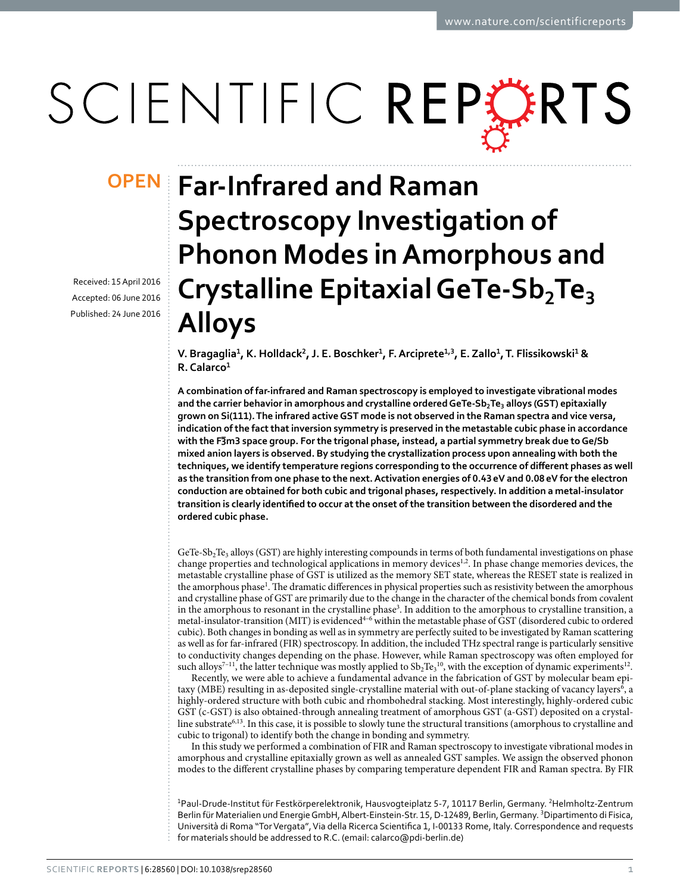# SCIENTIFIC REPERTS

Received: 15 April 2016 accepted: 06 June 2016 Published: 24 June 2016

## **Far-Infrared and Raman OPENSpectroscopy Investigation of Phonon Modes in Amorphous and Crystalline Epitaxial GeTe-Sb2Te<sup>3</sup> Alloys**

V. Bragaglia<sup>1</sup>, K. Holldack<sup>2</sup>, J. E. Boschker<sup>1</sup>, F. Arciprete<sup>1,3</sup>, E. Zallo<sup>1</sup>, T. Flissikowski<sup>1</sup> & **R. Calarco<sup>1</sup>**

**A combination of far-infrared and Raman spectroscopy is employed to investigate vibrational modes and the carrier behavior in amorphous and crystalline ordered GeTe-Sb2Te3 alloys (GST) epitaxially grown on Si(111). The infrared active GST mode is not observed in the Raman spectra and vice versa, indication of the fact that inversion symmetry is preserved in the metastable cubic phase in accordance with the F3 <sup>−</sup>m3 space group. For the trigonal phase, instead, a partial symmetry break due to Ge/Sb mixed anion layers is observed. By studying the crystallization process upon annealing with both the techniques, we identify temperature regions corresponding to the occurrence of different phases as well as the transition from one phase to the next. Activation energies of 0.43eV and 0.08eV for the electron conduction are obtained for both cubic and trigonal phases, respectively. In addition a metal-insulator transition is clearly identified to occur at the onset of the transition between the disordered and the ordered cubic phase.**

GeTe-Sb<sub>2</sub>Te<sub>3</sub> alloys (GST) are highly interesting compounds in terms of both fundamental investigations on phase change properties and technological applications in memory devices<sup>1[,2](#page-5-1)</sup>. In phase change memories devices, the metastable crystalline phase of GST is utilized as the memory SET state, whereas the RESET state is realized in the amorphous phase<sup>[1](#page-5-0)</sup>. The dramatic differences in physical properties such as resistivity between the amorphous and crystalline phase of GST are primarily due to the change in the character of the chemical bonds from covalent in the amorphous to resonant in the crystalline phase<sup>3</sup>. In addition to the amorphous to crystalline transition, a metal-insulator-transition (MIT) is evidenced[4–6](#page-5-3) within the metastable phase of GST (disordered cubic to ordered cubic). Both changes in bonding as well as in symmetry are perfectly suited to be investigated by Raman scattering as well as for far-infrared (FIR) spectroscopy. In addition, the included THz spectral range is particularly sensitive to conductivity changes depending on the phase. However, while Raman spectroscopy was often employed for such alloys<sup>7-11</sup>, the latter technique was mostly applied to  $\rm{Sb_2Te_3}^{10}$  $\rm{Sb_2Te_3}^{10}$  $\rm{Sb_2Te_3}^{10}$ , with the exception of dynamic experiments<sup>12</sup>.

Recently, we were able to achieve a fundamental advance in the fabrication of GST by molecular beam epi-taxy (MBE) resulting in as-deposited single-crystalline material with out-of-plane stacking of vacancy layers<sup>[6](#page-5-7)</sup>, a highly-ordered structure with both cubic and rhombohedral stacking. Most interestingly, highly-ordered cubic GST (c-GST) is also obtained-through annealing treatment of amorphous GST (a-GST) deposited on a crystalline substrate<sup>6,13</sup>. In this case, it is possible to slowly tune the structural transitions (amorphous to crystalline and cubic to trigonal) to identify both the change in bonding and symmetry.

In this study we performed a combination of FIR and Raman spectroscopy to investigate vibrational modes in amorphous and crystalline epitaxially grown as well as annealed GST samples. We assign the observed phonon modes to the different crystalline phases by comparing temperature dependent FIR and Raman spectra. By FIR

<sup>1</sup>Paul-Drude-Institut für Festkörperelektronik, Hausvogteiplatz 5-7, 10117 Berlin, Germany. <sup>2</sup>Helmholtz-Zentrum Berlin für Materialien und Energie GmbH, Albert-Einstein-Str. 15, D-12489, Berlin, Germany. <sup>3</sup>Dipartimento di Fisica, Università di Roma "Tor Vergata", Via della Ricerca Scientifica 1, I-00133 Rome, Italy. Correspondence and requests for materials should be addressed to R.C. (email: [calarco@pdi-berlin.de](mailto:calarco@pdi-berlin.de))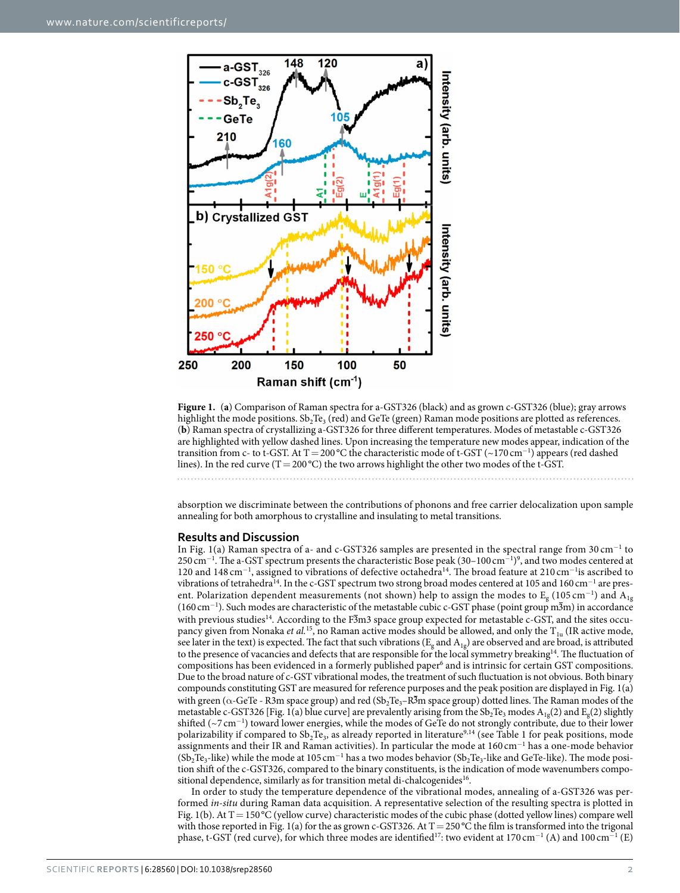

<span id="page-1-0"></span>**Figure 1.** (**a**) Comparison of Raman spectra for a-GST326 (black) and as grown c-GST326 (blue); gray arrows highlight the mode positions.  $Sb_2Te_3$  (red) and GeTe (green) Raman mode positions are plotted as references. (**b**) Raman spectra of crystallizing a-GST326 for three different temperatures. Modes of metastable c-GST326 are highlighted with yellow dashed lines. Upon increasing the temperature new modes appear, indication of the transition from c- to t-GST. At T = 200 °C the characteristic mode of t-GST ( $\sim$ 170 cm<sup>-1</sup>) appears (red dashed lines). In the red curve (T = 200 °C) the two arrows highlight the other two modes of the t-GST.

absorption we discriminate between the contributions of phonons and free carrier delocalization upon sample annealing for both amorphous to crystalline and insulating to metal transitions.

#### **Results and Discussion**

In [Fig. 1\(a\)](#page-1-0) Raman spectra of a- and c-GST326 samples are presented in the spectral range from 30 cm<sup>−</sup><sup>1</sup> to 250 cm<sup>-1</sup>. The a-GST spectrum presents the characteristic Bose peak (30–100 cm<sup>-1)[9](#page-5-9)</sup>, and two modes centered at 120 and 148 cm<sup>−</sup><sup>1</sup> , assigned to vibrations of defective octahedr[a14](#page-5-10). The broad feature at 210 cm<sup>−</sup><sup>1</sup> is ascribed to vibrations of tetrahedra<sup>14</sup>. In the c-GST spectrum two strong broad modes centered at 105 and 160 cm<sup>-1</sup> are present. Polarization dependent measurements (not shown) help to assign the modes to  $\rm E_g$  (105 cm $^{-1}$ ) and  $\rm A_{1g}$ (160 cm<sup>−</sup><sup>1</sup> ). Such modes are characteristic of the metastable cubic c-GST phase (point group m3m) in accordance with previous studies<sup>[14](#page-5-10)</sup>. According to the F3m3 space group expected for metastable c-GST, and the sites occupancy given from Nonaka *et al.*<sup>15</sup>, no Raman active modes should be allowed, and only the T<sub>1u</sub> (IR active mode, see later in the text) is expected. The fact that such vibrations ( $E_g$  and  $A_{1g}$ ) are observed and are broad, is attributed to the presence of vacancies and defects that are responsible for the local symmetry breaking<sup>14</sup>. The fluctuation of compositions has been evidenced in a formerly published paper<sup>6</sup> and is intrinsic for certain GST compositions. Due to the broad nature of c-GST vibrational modes, the treatment of such fluctuation is not obvious. Both binary compounds constituting GST are measured for reference purposes and the peak position are displayed in [Fig. 1\(a\)](#page-1-0)  with green ( $\alpha$ -GeTe - R3m space group) and red ( $Sb_2Te_3-R\overline{3}m$  space group) dotted lines. The Raman modes of the metastable c-GST326 [\[Fig. 1\(a\)](#page-1-0) blue curve] are prevalently arising from the  $Sb_2Te_3$  modes  $A_{1g}(2)$  and  $E_{g}(2)$  slightly shifted (~7 cm<sup>−</sup><sup>1</sup> ) toward lower energies, while the modes of GeTe do not strongly contribute, due to their lower polarizability if compared to  $Sb_2Te_3$ , as already reported in literature<sup>[9](#page-5-9),14</sup> (see [Table 1](#page-2-0) for peak positions, mode assignments and their IR and Raman activities). In particular the mode at 160 cm<sup>−</sup><sup>1</sup> has a one-mode behavior (Sb<sub>2</sub>Te<sub>3</sub>-like) while the mode at 105 cm<sup>-1</sup> has a two modes behavior (Sb<sub>2</sub>Te<sub>3</sub>-like and GeTe-like). The mode position shift of the c-GST326, compared to the binary constituents, is the indication of mode wavenumbers compositional dependence, similarly as for transition metal di-chalcogenides<sup>16</sup>.

In order to study the temperature dependence of the vibrational modes, annealing of a-GST326 was performed *in-situ* during Raman data acquisition. A representative selection of the resulting spectra is plotted in [Fig. 1\(b\).](#page-1-0) At  $T=150\text{ °C}$  (yellow curve) characteristic modes of the cubic phase (dotted yellow lines) compare well with those reported in [Fig. 1\(a\)](#page-1-0) for the as grown c-GST326. At  $T = 250^{\circ}$ C the film is transformed into the trigonal phase, t-GST (red curve), for which three modes are identified<sup>[17](#page-5-13)</sup>: two evident at 170 cm<sup>-1</sup> (A) and 100 cm<sup>-1</sup> (E)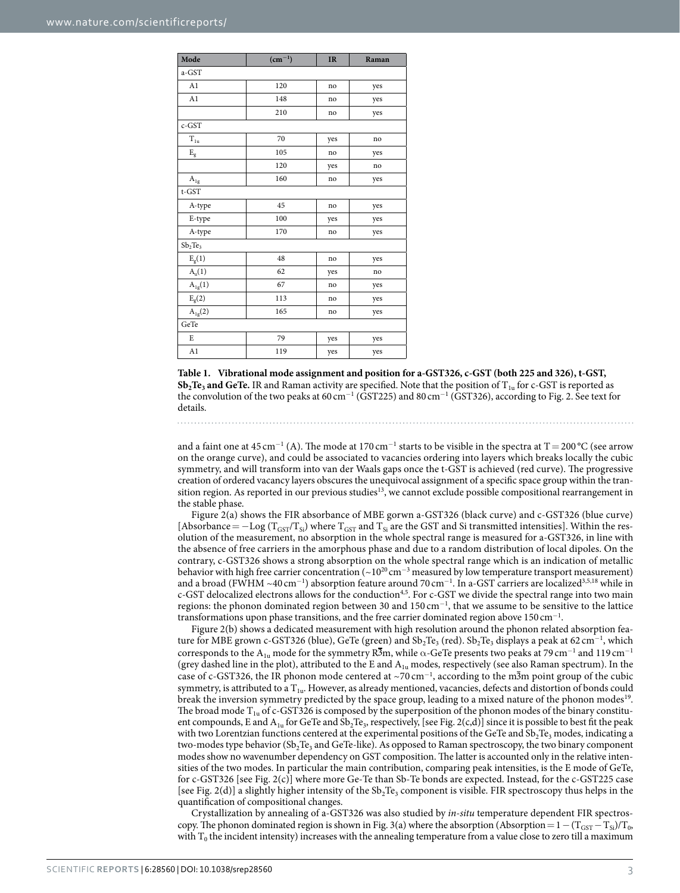<span id="page-2-0"></span>

| Mode                    | $(cm^{-1})$ | <b>IR</b> | Raman |
|-------------------------|-------------|-----------|-------|
| a-GST                   |             |           |       |
| A1                      | 120         | no        | yes   |
| A1                      | 148         | no        | yes   |
|                         | 210         | no        | yes   |
| c-GST                   |             |           |       |
| $T_{1u}$                | 70          | yes       | no    |
| $\mathbf{E}_{\text{g}}$ | 105         | no        | yes   |
|                         | 120         | yes       | no    |
| $\rm A_{1g}$            | 160         | no        | yes   |
| $t$ -GST                |             |           |       |
| A-type                  | 45          | no        | yes   |
| E-type                  | 100         | yes       | yes   |
| A-type                  | 170         | no        | yes   |
| $Sb_2Te_3$              |             |           |       |
| $E_g(1)$                | 48          | no        | yes   |
| $A_u(1)$                | 62          | yes       | no    |
| $A_{1g}(1)$             | 67          | no        | yes   |
| $E_g(2)$                | 113         | no        | yes   |
| $A_{1g}(2)$             | 165         | no        | yes   |
| GeTe                    |             |           |       |
| E                       | 79          | yes       | yes   |
| A1                      | 119         | yes       | yes   |

**Table 1. Vibrational mode assignment and position for a-GST326, c-GST (both 225 and 326), t-GST,**   $Sb<sub>2</sub>Te<sub>3</sub>$  and GeTe. IR and Raman activity are specified. Note that the position of T<sub>1u</sub> for c-GST is reported as the convolution of the two peaks at  $60 \text{ cm}^{-1}$  (GST225) and  $80 \text{ cm}^{-1}$  (GST326), according to [Fig. 2](#page-3-0). See text for details.

and a faint one at 45 cm<sup>-1</sup> (A). The mode at 170 cm<sup>-1</sup> starts to be visible in the spectra at T = 200 °C (see arrow on the orange curve), and could be associated to vacancies ordering into layers which breaks locally the cubic symmetry, and will transform into van der Waals gaps once the t-GST is achieved (red curve). The progressive creation of ordered vacancy layers obscures the unequivocal assignment of a specific space group within the tran-sition region. As reported in our previous studies<sup>[13](#page-5-8)</sup>, we cannot exclude possible compositional rearrangement in the stable phase.

[Figure 2\(a\)](#page-3-0) shows the FIR absorbance of MBE gorwn a-GST326 (black curve) and c-GST326 (blue curve) [Absorbance =  $-\text{Log } (T_{\text{GST}}/T_{\text{Si}})$  where  $T_{\text{GST}}$  and  $T_{\text{Si}}$  are the GST and Si transmitted intensities]. Within the resolution of the measurement, no absorption in the whole spectral range is measured for a-GST326, in line with the absence of free carriers in the amorphous phase and due to a random distribution of local dipoles. On the contrary, c-GST326 shows a strong absorption on the whole spectral range which is an indication of metallic behavior with high free carrier concentration ( $\sim 10^{20}$  cm<sup>-3</sup> measured by low temperature transport measurement) and a broad (FWHM ~40 cm<sup>-1</sup>) absorption feature around 70 cm<sup>-1</sup>. In a-GST carriers are localized<sup>[3,](#page-5-2)[5,](#page-5-14)18</sup> while in c-GST delocalized electrons allows for the conduction<sup>[4](#page-5-3),5</sup>. For c-GST we divide the spectral range into two main regions: the phonon dominated region between 30 and  $150 \text{ cm}^{-1}$ , that we assume to be sensitive to the lattice transformations upon phase transitions, and the free carrier dominated region above 150 cm<sup>-1</sup>.

[Figure 2\(b\)](#page-3-0) shows a dedicated measurement with high resolution around the phonon related absorption feature for MBE grown c-GST326 (blue), GeTe (green) and  $Sb_2Te_3$  (red).  $Sb_2Te_3$  displays a peak at 62 cm $^{-1}$ , which corresponds to the  $A_{1u}$  mode for the symmetry R $\overline{3}$ m, while  $\alpha$ -GeTe presents two peaks at 79 cm<sup>-1</sup> and 119 cm<sup>-1</sup> (grey dashed line in the plot), attributed to the E and  $A_{1u}$  modes, respectively (see also Raman spectrum). In the case of c-GST326, the IR phonon mode centered at ~70 cm<sup>-1</sup>, according to the m<sup>3</sup>m point group of the cubic symmetry, is attributed to a  $T_{1u}$ . However, as already mentioned, vacancies, defects and distortion of bonds could break the inversion symmetry predicted by the space group, leading to a mixed nature of the phonon modes<sup>19</sup>. The broad mode  $T_{1u}$  of c-GST326 is composed by the superposition of the phonon modes of the binary constituent compounds, E and  $A_{1u}$  for GeTe and Sb<sub>2</sub>Te<sub>3</sub>, respectively, [see [Fig. 2\(c,d\)](#page-3-0)] since it is possible to best fit the peak with two Lorentzian functions centered at the experimental positions of the GeTe and  $Sb_2Te_3$  modes, indicating a two-modes type behavior (Sb<sub>2</sub>Te<sub>3</sub> and GeTe-like). As opposed to Raman spectroscopy, the two binary component modes show no wavenumber dependency on GST composition. The latter is accounted only in the relative intensities of the two modes. In particular the main contribution, comparing peak intensities, is the E mode of GeTe, for c-GST326 [see [Fig. 2\(c\)\]](#page-3-0) where more Ge-Te than Sb-Te bonds are expected. Instead, for the c-GST225 case [see [Fig. 2\(d\)](#page-3-0)] a slightly higher intensity of the  $Sb_2Te_3$  component is visible. FIR spectroscopy thus helps in the quantification of compositional changes.

Crystallization by annealing of a-GST326 was also studied by *in-situ* temperature dependent FIR spectros-copy. The phonon dominated region is shown in [Fig. 3\(a\)](#page-4-0) where the absorption (Absorption =  $1 - (T_{\text{GST}} - T_{\text{Si}})/T_0$ , with  $T_0$  the incident intensity) increases with the annealing temperature from a value close to zero till a maximum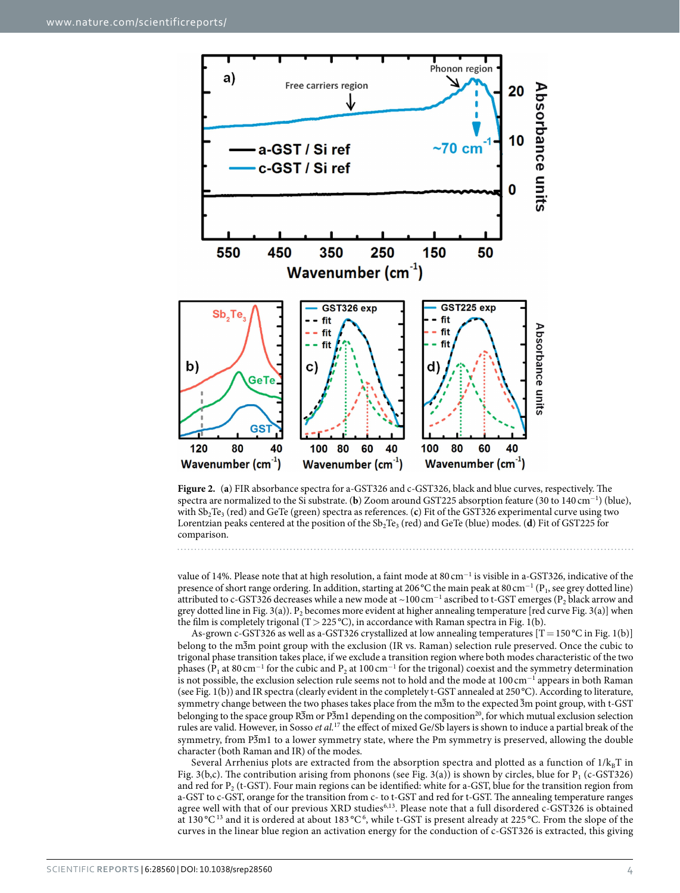

<span id="page-3-0"></span>**Figure 2.** (**a**) FIR absorbance spectra for a-GST326 and c-GST326, black and blue curves, respectively. The spectra are normalized to the Si substrate. (**b**) Zoom around GST225 absorption feature (30 to 140 cm<sup>−</sup><sup>1</sup> ) (blue), with Sb<sub>2</sub>Te<sub>3</sub> (red) and GeTe (green) spectra as references. (c) Fit of the GST326 experimental curve using two Lorentzian peaks centered at the position of the Sb<sub>2</sub>Te<sub>3</sub> (red) and GeTe (blue) modes. (**d**) Fit of GST225 for comparison.

value of 14%. Please note that at high resolution, a faint mode at 80 cm<sup>−</sup><sup>1</sup> is visible in a-GST326, indicative of the presence of short range ordering. In addition, starting at 206 °C the main peak at 80 cm<sup>−1</sup> (P<sub>1</sub>, see grey dotted line) attributed to c-GST326 decreases while a new mode at ~100 cm $^{-1}$  ascribed to t-GST emerges (P<sub>2</sub> black arrow and grey dotted line in [Fig. 3\(a\)\)](#page-4-0).  $P_2$  becomes more evident at higher annealing temperature [red curve [Fig. 3\(a\)](#page-4-0)] when the film is completely trigonal (T > 225 °C), in accordance with Raman spectra in [Fig. 1\(b\)](#page-1-0).

As-grown c-GST326 as well as a-GST326 crystallized at low annealing temperatures  $[T=150^{\circ}\text{C}$  in [Fig. 1\(b\)\]](#page-1-0) belong to the m3m point group with the exclusion (IR vs. Raman) selection rule preserved. Once the cubic to trigonal phase transition takes place, if we exclude a transition region where both modes characteristic of the two phases ( $P_1$  at 80 cm<sup>-1</sup> for the cubic and  $P_2$  at 100 cm<sup>-1</sup> for the trigonal) coexist and the symmetry determination is not possible, the exclusion selection rule seems not to hold and the mode at 100 cm<sup>-1</sup> appears in both Raman (see [Fig. 1\(b\)](#page-1-0)) and IR spectra (clearly evident in the completely t-GST annealed at 250°C). According to literature, symmetry change between the two phases takes place from the m3m to the expected 3m point group, with t-GST belonging to the space group  $\overline{R_3}$ m or  $\overline{P_3}$ m1 depending on the composition<sup>20</sup>, for which mutual exclusion selection rules are valid. However, in Sosso *et al.*[17](#page-5-13) the effect of mixed Ge/Sb layers is shown to induce a partial break of the symmetry, from P3m1 to a lower symmetry state, where the Pm symmetry is preserved, allowing the double character (both Raman and IR) of the modes.

Several Arrhenius plots are extracted from the absorption spectra and plotted as a function of  $1/k_BT$  in [Fig. 3\(b,c\)](#page-4-0). The contribution arising from phonons (see [Fig. 3\(a\)\)](#page-4-0) is shown by circles, blue for  $P_1$  (c-GST326) and red for P<sub>2</sub> (t-GST). Four main regions can be identified: white for a-GST, blue for the transition region from a-GST to c-GST, orange for the transition from c- to t-GST and red for t-GST. The annealing temperature ranges agree well with that of our previous XRD studies<sup>[6](#page-5-7)[,13](#page-5-8)</sup>. Please note that a full disordered c-GST326 is obtained at [13](#page-5-8)0 °C<sup>13</sup> and it is ordered at about 183 °C<sup>[6](#page-5-7)</sup>, while t-GST is present already at 225 °C. From the slope of the curves in the linear blue region an activation energy for the conduction of c-GST326 is extracted, this giving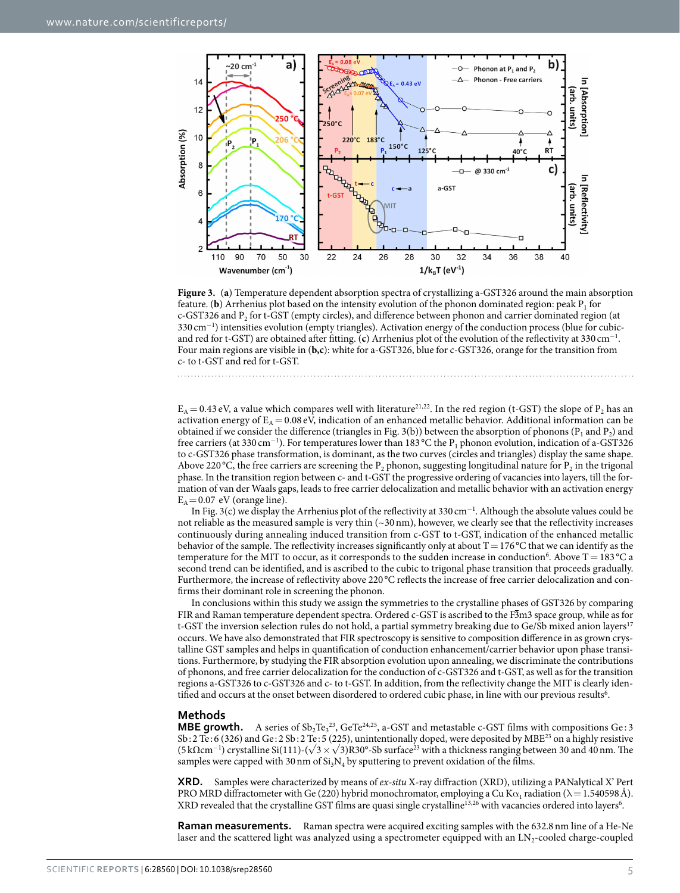

<span id="page-4-0"></span>**Figure 3.** (**a**) Temperature dependent absorption spectra of crystallizing a-GST326 around the main absorption feature. (**b**) Arrhenius plot based on the intensity evolution of the phonon dominated region: peak  $P_1$  for c-GST326 and P<sub>2</sub> for t-GST (empty circles), and difference between phonon and carrier dominated region (at 330 cm<sup>−</sup><sup>1</sup> ) intensities evolution (empty triangles). Activation energy of the conduction process (blue for cubicand red for t-GST) are obtained after fitting. (**c**) Arrhenius plot of the evolution of the reflectivity at 330 cm<sup>-1</sup>. Four main regions are visible in (**b,c**): white for a-GST326, blue for c-GST326, orange for the transition from c- to t-GST and red for t-GST.

 $E_A$  = 0.43 eV, a value which compares well with literature<sup>[21,](#page-5-18)22</sup>. In the red region (t-GST) the slope of P<sub>2</sub> has an activation energy of  $E_A = 0.08 \text{ eV}$ , indication of an enhanced metallic behavior. Additional information can be obtained if we consider the difference (triangles in [Fig. 3\(b\)\)](#page-4-0) between the absorption of phonons ( $P_1$  and  $P_2$ ) and free carriers (at 330 cm<sup>-1</sup>). For temperatures lower than 183 °C the P<sub>1</sub> phonon evolution, indication of a-GST326 to c-GST326 phase transformation, is dominant, as the two curves (circles and triangles) display the same shape. Above 220 °C, the free carriers are screening the P<sub>2</sub> phonon, suggesting longitudinal nature for P<sub>2</sub> in the trigonal phase. In the transition region between c- and t-GST the progressive ordering of vacancies into layers, till the formation of van der Waals gaps, leads to free carrier delocalization and metallic behavior with an activation energy  $E_A = 0.07$  eV (orange line).

In [Fig. 3\(c\)](#page-4-0) we display the Arrhenius plot of the reflectivity at 330 cm<sup>−</sup><sup>1</sup> . Although the absolute values could be not reliable as the measured sample is very thin  $(\sim 30 \text{ nm})$ , however, we clearly see that the reflectivity increases continuously during annealing induced transition from c-GST to t-GST, indication of the enhanced metallic behavior of the sample. The reflectivity increases significantly only at about  $T=176^{\circ}$ C that we can identify as the temperature for the MIT to occur, as it corresponds to the sudden increase in conduction<sup>[6](#page-5-7)</sup>. Above T = 183 °C a second trend can be identified, and is ascribed to the cubic to trigonal phase transition that proceeds gradually. Furthermore, the increase of reflectivity above 220 °C reflects the increase of free carrier delocalization and confirms their dominant role in screening the phonon.

In conclusions within this study we assign the symmetries to the crystalline phases of GST326 by comparing FIR and Raman temperature dependent spectra. Ordered c-GST is ascribed to the F3m3 space group, while as for t-GST the inversion selection rules do not hold, a partial symmetry breaking due to Ge/Sb mixed anion layers<sup>[17](#page-5-13)</sup> occurs. We have also demonstrated that FIR spectroscopy is sensitive to composition difference in as grown crystalline GST samples and helps in quantification of conduction enhancement/carrier behavior upon phase transitions. Furthermore, by studying the FIR absorption evolution upon annealing, we discriminate the contributions of phonons, and free carrier delocalization for the conduction of c-GST326 and t-GST, as well as for the transition regions a-GST326 to c-GST326 and c- to t-GST. In addition, from the reflectivity change the MIT is clearly identified and occurs at the onset between disordered to ordered cubic phase, in line with our previous results<sup>6</sup>.

#### **Methods**

**MBE growth.** A series of  $Sb_2Te_3^{23}$ ,  $GeTe^{24,25}$  $GeTe^{24,25}$  $GeTe^{24,25}$ , a-GST and metastable c-GST films with compositions  $Ge:3$ Sb: 2 Te : 6 (326) and Ge : 2 Sb: 2 Te : 5 (225), unintentionally doped, were deposited by MB[E23](#page-5-20) on a highly resistive (5 kΩcm<sup>-1</sup>) crystalline Si(111)-( $\sqrt{3}$  ×  $\sqrt{3}$ )R30°-Sb surface<sup>23</sup> with a thickness ranging between 30 and 40 nm. The samples were capped with 30 nm of  $Si<sub>3</sub>N<sub>4</sub>$  by sputtering to prevent oxidation of the films.

**XRD.** Samples were characterized by means of *ex-situ* X-ray diffraction (XRD), utilizing a PANalytical X' Pert PRO MRD diffractometer with Ge (220) hybrid monochromator, employing a Cu K $\alpha_1$  radiation ( $\lambda = 1.540598$ Å). XRD revealed that the crystalline GST films are quasi single crystalline<sup>[13,](#page-5-8)2[6](#page-5-7)</sup> with vacancies ordered into layers<sup>6</sup>.

**Raman measurements.** Raman spectra were acquired exciting samples with the 632.8nm line of a He-Ne laser and the scattered light was analyzed using a spectrometer equipped with an LN<sub>2</sub>-cooled charge-coupled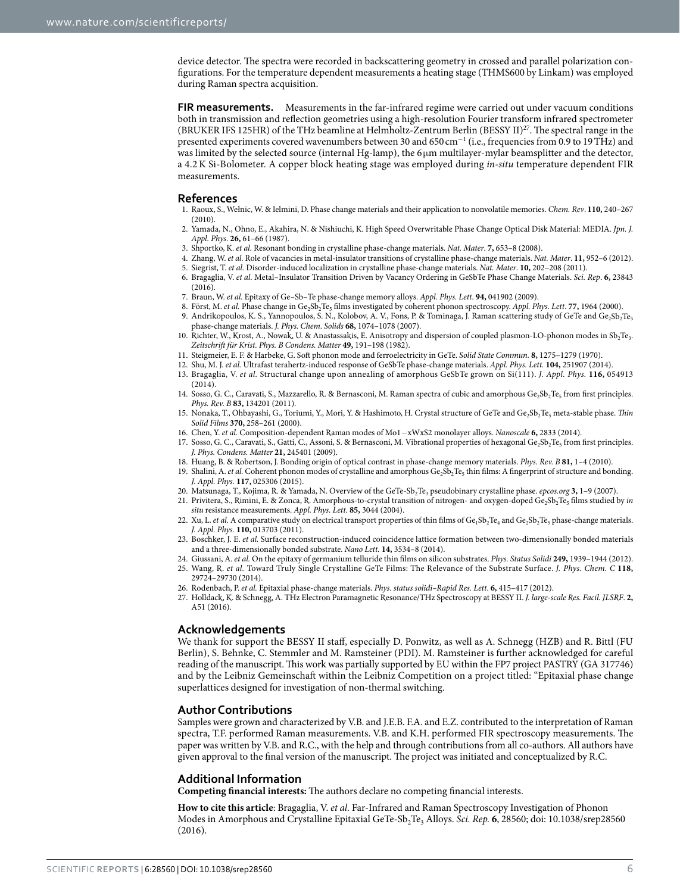device detector. The spectra were recorded in backscattering geometry in crossed and parallel polarization configurations. For the temperature dependent measurements a heating stage (THMS600 by Linkam) was employed during Raman spectra acquisition.

**FIR measurements.** Measurements in the far-infrared regime were carried out under vacuum conditions both in transmission and reflection geometries using a high-resolution Fourier transform infrared spectrometer (BRUKER IFS 125HR) of the THz beamline at Helmholtz-Zentrum Berlin (BESSY II[\)27.](#page-5-24) The spectral range in the presented experiments covered wavenumbers between 30 and 650 cm<sup>-1</sup> (i.e., frequencies from 0.9 to 19THz) and was limited by the selected source (internal Hg-lamp), the  $6\mu m$  multilayer-mylar beamsplitter and the detector, a 4.2K Si-Bolometer. A copper block heating stage was employed during *in-situ* temperature dependent FIR measurements.

#### **References**

- <span id="page-5-0"></span>1. Raoux, S., Wełnic, W. & Ielmini, D. Phase change materials and their application to nonvolatile memories. *Chem. Rev*. **110,** 240–267  $(2010)$
- <span id="page-5-1"></span>2. Yamada, N., Ohno, E., Akahira, N. & Nishiuchi, K. High Speed Overwritable Phase Change Optical Disk Material: MEDIA. *Jpn. J. Appl. Phys*. **26,** 61–66 (1987).
- <span id="page-5-3"></span><span id="page-5-2"></span>3. Shportko, K. *et al.* Resonant bonding in crystalline phase-change materials. *Nat. Mater*. **7,** 653–8 (2008).
- 4. Zhang, W. *et al.* Role of vacancies in metal-insulator transitions of crystalline phase-change materials. *Nat. Mater*. **11,** 952–6 (2012). 5. Siegrist, T. *et al.* Disorder-induced localization in crystalline phase-change materials. *Nat. Mater*. **10,** 202–208 (2011).
- <span id="page-5-14"></span><span id="page-5-7"></span>6. Bragaglia, V. *et al.* Metal–Insulator Transition Driven by Vacancy Ordering in GeSbTe Phase Change Materials. *Sci. Rep*. **6,** 23843 (2016).
- <span id="page-5-4"></span>7. Braun, W. *et al.* Epitaxy of Ge–Sb–Te phase-change memory alloys. *Appl. Phys. Lett*. **94,** 041902 (2009).
- 8. Först, M. et al. Phase change in Ge<sub>2</sub>Sb<sub>2</sub>Te<sub>5</sub> films investigated by coherent phonon spectroscopy. Appl. Phys. Lett. 77, 1964 (2000).
- <span id="page-5-9"></span>9. Andrikopoulos, K. S., Yannopoulos, S. N., Kolobov, A. V., Fons, P. & Tominaga, J. Raman scattering study of GeTe and Ge2Sb2Te5 phase-change materials. *J. Phys. Chem*. *Solids* **68,** 1074–1078 (2007).
- <span id="page-5-5"></span>10. Richter, W., Krost, A., Nowak, U. & Anastassakis, E. Anisotropy and dispersion of coupled plasmon-LO-phonon modes in Sb<sub>2</sub>Te<sub>3</sub>. *Zeitschrift für Krist. Phys. B Condens. Matter* **49,** 191–198 (1982).
- <span id="page-5-6"></span>11. Steigmeier, E. F. & Harbeke, G. Soft phonon mode and ferroelectricity in GeTe. *Solid State Commun.* **8,** 1275–1279 (1970).
- 12. Shu, M. J. *et al.* Ultrafast terahertz-induced response of GeSbTe phase-change materials. *Appl. Phys. Lett.* **104,** 251907 (2014).
- <span id="page-5-8"></span>13. Bragaglia, V. *et al.* Structural change upon annealing of amorphous GeSbTe grown on Si(111). *J. Appl. Phys.* **116,** 054913  $(2014)$ .
- <span id="page-5-10"></span>14. Sosso, G. C., Caravati, S., Mazzarello, R. & Bernasconi, M. Raman spectra of cubic and amorphous Ge<sub>2</sub>Sb<sub>2</sub>Te<sub>5</sub> from first principles. *Phys. Rev. B* **83,** 134201 (2011).
- <span id="page-5-11"></span>15. Nonaka, T., Ohbayashi, G., Toriumi, Y., Mori, Y. & Hashimoto, H. Crystal structure of GeTe and Ge<sub>2</sub>Sb<sub>2</sub>Te<sub>5</sub> meta-stable phase. *Thin Solid Films* **370,** 258–261 (2000).
- <span id="page-5-12"></span>16. Chen, Y. *et al.* Composition-dependent Raman modes of Mo1−xWxS2 monolayer alloys. *Nanoscale* **6,** 2833 (2014).
- <span id="page-5-13"></span>17. Sosso, G. C., Caravati, S., Gatti, C., Assoni, S. & Bernasconi, M. Vibrational properties of hexagonal Ge<sub>2</sub>Sb<sub>2</sub>Te<sub>5</sub> from first principles. *J. Phys. Condens. Matter* **21,** 245401 (2009).
- <span id="page-5-16"></span><span id="page-5-15"></span>18. Huang, B. & Robertson, J. Bonding origin of optical contrast in phase-change memory materials. *Phys. Rev. B* **81,** 1–4 (2010).
- 19. Shalini, A. *et al.* Coherent phonon modes of crystalline and amorphous Ge<sub>2</sub>Sb<sub>2</sub>Te<sub>5</sub> thin films: A fingerprint of structure and bonding. *J. Appl. Phys.* **117,** 025306 (2015).
- <span id="page-5-17"></span>20. Matsunaga, T., Kojima, R. & Yamada, N. Overview of the GeTe-Sb<sub>2</sub>Te<sub>3</sub> pseudobinary crystalline phase. *epcos.org* **3**, 1–9 (2007).
- <span id="page-5-18"></span>21. Privitera, S., Rimini, E. & Zonca, R. Amorphous-to-crystal transition of nitrogen- and oxygen-doped Ge<sub>2</sub>Sb<sub>2</sub>Te<sub>5</sub> films studied by *in situ* resistance measurements. *Appl. Phys. Lett.* **85,** 3044 (2004).
- <span id="page-5-19"></span>22. Xu, L. et al. A comparative study on electrical transport properties of thin films of Ge<sub>1</sub>Sb<sub>2</sub>Te<sub>4</sub> and Ge<sub>2</sub>Sb<sub>2</sub>Te<sub>5</sub> phase-change materials. *J. Appl. Phys.* **110,** 013703 (2011).
- <span id="page-5-20"></span>23. Boschker, J. E. *et al.* Surface reconstruction-induced coincidence lattice formation between two-dimensionally bonded materials and a three-dimensionally bonded substrate. *Nano Lett.* **14,** 3534–8 (2014).
- <span id="page-5-21"></span>24. Giussani, A. *et al.* On the epitaxy of germanium telluride thin films on silicon substrates. *Phys. Status Solidi* **249,** 1939–1944 (2012).
- <span id="page-5-22"></span>25. Wang, R. *et al.* Toward Truly Single Crystalline GeTe Films: The Relevance of the Substrate Surface. *J. Phys. Chem. C* **118,** 29724–29730 (2014).
- <span id="page-5-23"></span>26. Rodenbach, P. *et al.* Epitaxial phase-change materials. *Phys. status solidi–Rapid Res. Lett*. **6,** 415–417 (2012).
- <span id="page-5-24"></span>27. Holldack, K. & Schnegg, A. THz Electron Paramagnetic Resonance/THz Spectroscopy at BESSY II. *J. large-scale Res. Facil. JLSRF*. **2,** A51 (2016).

### **Acknowledgements**

We thank for support the BESSY II staff, especially D. Ponwitz, as well as A. Schnegg (HZB) and R. Bittl (FU Berlin), S. Behnke, C. Stemmler and M. Ramsteiner (PDI). M. Ramsteiner is further acknowledged for careful reading of the manuscript. This work was partially supported by EU within the FP7 project PASTRY (GA 317746) and by the Leibniz Gemeinschaft within the Leibniz Competition on a project titled: "Epitaxial phase change superlattices designed for investigation of non-thermal switching.

#### **Author Contributions**

Samples were grown and characterized by V.B. and J.E.B. F.A. and E.Z. contributed to the interpretation of Raman spectra, T.F. performed Raman measurements. V.B. and K.H. performed FIR spectroscopy measurements. The paper was written by V.B. and R.C., with the help and through contributions from all co-authors. All authors have given approval to the final version of the manuscript. The project was initiated and conceptualized by R.C.

### **Additional Information**

**Competing financial interests:** The authors declare no competing financial interests.

**How to cite this article**: Bragaglia, V. *et al.* Far-Infrared and Raman Spectroscopy Investigation of Phonon Modes in Amorphous and Crystalline Epitaxial GeTe-Sb<sub>2</sub>Te<sub>3</sub> Alloys. *Sci. Rep.* **6**, 28560; doi: 10.1038/srep28560 (2016).